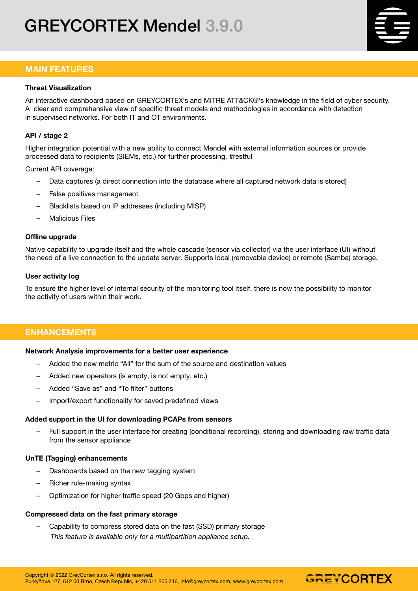# GREYCORTEX Mendel 3.9.0

# MAIN FEATURES

#### Threat Visualization

An interactive dashboard based on GREYCORTEX's and MITRE ATT&CK®'s knowledge in the field of cyber security. A clear and comprehensive view of specific threat models and methodologies in accordance with detection in supervised networks. For both IT and OT environments.

## API / stage 2

Higher integration potential with a new ability to connect Mendel with external information sources or provide processed data to recipients (SIEMs, etc.) for further processing. #restful

Current API coverage:

- Data captures (a direct connection into the database where all captured network data is stored)
- False positives management
- Blacklists based on IP addresses (including MISP)
- Malicious Files

#### Offline upgrade

Native capability to upgrade itself and the whole cascade (sensor via collector) via the user interface (UI) without the need of a live connection to the update server. Supports local (removable device) or remote (Samba) storage.

#### User activity log

To ensure the higher level of internal security of the monitoring tool itself, there is now the possibility to monitor the activity of users within their work.

## ENHANCEMENTS

#### Network Analysis improvements for a better user experience

- Added the new metric "All" for the sum of the source and destination values
- Added new operators (is empty, is not empty, etc.)
- Added "Save as" and "To filter" buttons
- Import/export functionality for saved predefined views

#### Added support in the UI for downloading PCAPs from sensors

– Full support in the user interface for creating (conditional recording), storing and downloading raw traffic data from the sensor appliance

GREYCORTEX

## UnTE (Tagging) enhancements

- Dashboards based on the new tagging system
- Richer rule-making syntax
- Optimization for higher traffic speed (20 Gbps and higher)

## Compressed data on the fast primary storage

– Capability to compress stored data on the fast (SSD) primary storage *This feature is available only for a multipartition appliance setup.*